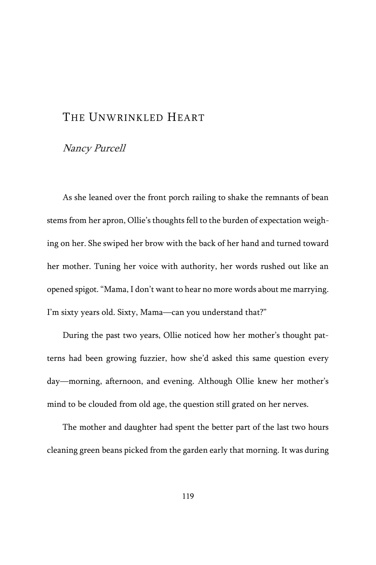## THE UNWRINKLED HEART

## Nancy Purcell

As she leaned over the front porch railing to shake the remnants of bean stems from her apron, Ollie's thoughts fell to the burden of expectation weighing on her. She swiped her brow with the back of her hand and turned toward her mother. Tuning her voice with authority, her words rushed out like an opened spigot. "Mama, I don't want to hear no more words about me marrying. I'm sixty years old. Sixty, Mama—can you understand that?"

During the past two years, Ollie noticed how her mother's thought patterns had been growing fuzzier, how she'd asked this same question every day—morning, afternoon, and evening. Although Ollie knew her mother's mind to be clouded from old age, the question still grated on her nerves.

The mother and daughter had spent the better part of the last two hours cleaning green beans picked from the garden early that morning. It was during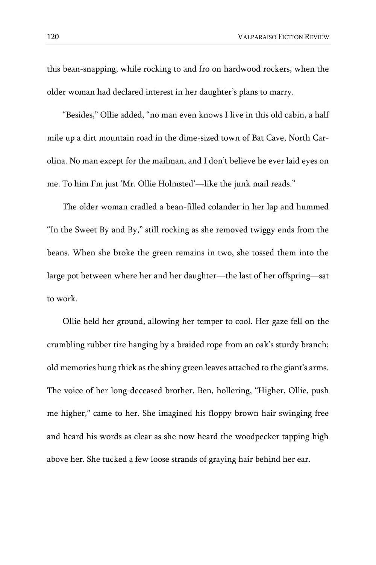this bean-snapping, while rocking to and fro on hardwood rockers, when the older woman had declared interest in her daughter's plans to marry.

"Besides," Ollie added, "no man even knows I live in this old cabin, a half mile up a dirt mountain road in the dime-sized town of Bat Cave, North Carolina. No man except for the mailman, and I don't believe he ever laid eyes on me. To him I'm just 'Mr. Ollie Holmsted'—like the junk mail reads."

The older woman cradled a bean-filled colander in her lap and hummed "In the Sweet By and By," still rocking as she removed twiggy ends from the beans. When she broke the green remains in two, she tossed them into the large pot between where her and her daughter—the last of her offspring—sat to work.

Ollie held her ground, allowing her temper to cool. Her gaze fell on the crumbling rubber tire hanging by a braided rope from an oak's sturdy branch; old memories hung thick as the shiny green leaves attached to the giant's arms. The voice of her long-deceased brother, Ben, hollering, "Higher, Ollie, push me higher," came to her. She imagined his floppy brown hair swinging free and heard his words as clear as she now heard the woodpecker tapping high above her. She tucked a few loose strands of graying hair behind her ear.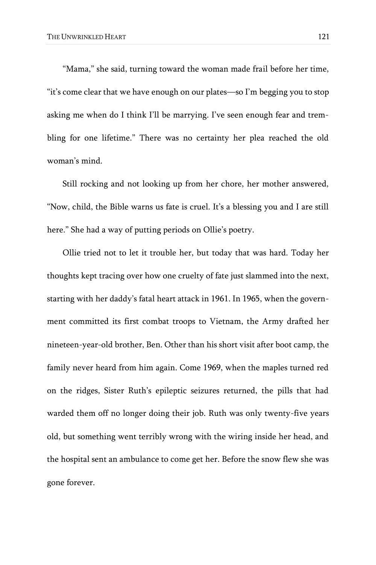"Mama," she said, turning toward the woman made frail before her time, "it's come clear that we have enough on our plates—so I'm begging you to stop asking me when do I think I'll be marrying. I've seen enough fear and trembling for one lifetime." There was no certainty her plea reached the old woman's mind.

Still rocking and not looking up from her chore, her mother answered, "Now, child, the Bible warns us fate is cruel. It's a blessing you and I are still here." She had a way of putting periods on Ollie's poetry.

Ollie tried not to let it trouble her, but today that was hard. Today her thoughts kept tracing over how one cruelty of fate just slammed into the next, starting with her daddy's fatal heart attack in 1961. In 1965, when the government committed its first combat troops to Vietnam, the Army drafted her nineteen-year-old brother, Ben. Other than his short visit after boot camp, the family never heard from him again. Come 1969, when the maples turned red on the ridges, Sister Ruth's epileptic seizures returned, the pills that had warded them off no longer doing their job. Ruth was only twenty-five years old, but something went terribly wrong with the wiring inside her head, and the hospital sent an ambulance to come get her. Before the snow flew she was gone forever.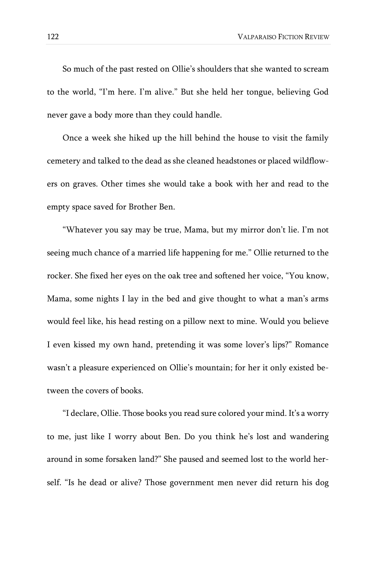122 VALPARAISO FICTION REVIEW

So much of the past rested on Ollie's shoulders that she wanted to scream to the world, "I'm here. I'm alive." But she held her tongue, believing God never gave a body more than they could handle.

Once a week she hiked up the hill behind the house to visit the family cemetery and talked to the dead as she cleaned headstones or placed wildflowers on graves. Other times she would take a book with her and read to the empty space saved for Brother Ben.

"Whatever you say may be true, Mama, but my mirror don't lie. I'm not seeing much chance of a married life happening for me." Ollie returned to the rocker. She fixed her eyes on the oak tree and softened her voice, "You know, Mama, some nights I lay in the bed and give thought to what a man's arms would feel like, his head resting on a pillow next to mine. Would you believe I even kissed my own hand, pretending it was some lover's lips?" Romance wasn't a pleasure experienced on Ollie's mountain; for her it only existed between the covers of books.

"I declare, Ollie. Those books you read sure colored your mind. It's a worry to me, just like I worry about Ben. Do you think he's lost and wandering around in some forsaken land?" She paused and seemed lost to the world herself. "Is he dead or alive? Those government men never did return his dog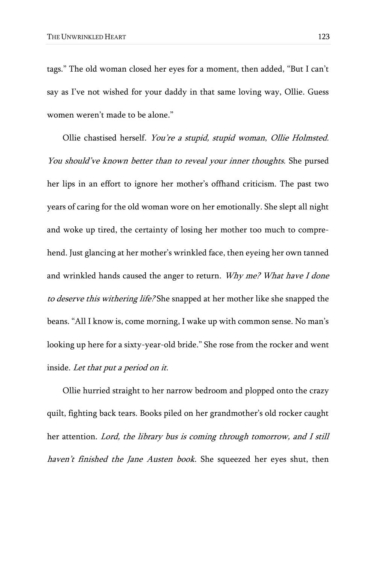tags." The old woman closed her eyes for a moment, then added, "But I can't say as I've not wished for your daddy in that same loving way, Ollie. Guess women weren't made to be alone."

Ollie chastised herself. You're a stupid, stupid woman, Ollie Holmsted. You should've known better than to reveal your inner thoughts. She pursed her lips in an effort to ignore her mother's offhand criticism. The past two years of caring for the old woman wore on her emotionally. She slept all night and woke up tired, the certainty of losing her mother too much to comprehend. Just glancing at her mother's wrinkled face, then eyeing her own tanned and wrinkled hands caused the anger to return. Why me? What have I done to deserve this withering life? She snapped at her mother like she snapped the beans. "All I know is, come morning, I wake up with common sense. No man's looking up here for a sixty-year-old bride." She rose from the rocker and went inside. Let that put a period on it.

Ollie hurried straight to her narrow bedroom and plopped onto the crazy quilt, fighting back tears. Books piled on her grandmother's old rocker caught her attention. Lord, the library bus is coming through tomorrow, and I still haven't finished the Jane Austen book. She squeezed her eyes shut, then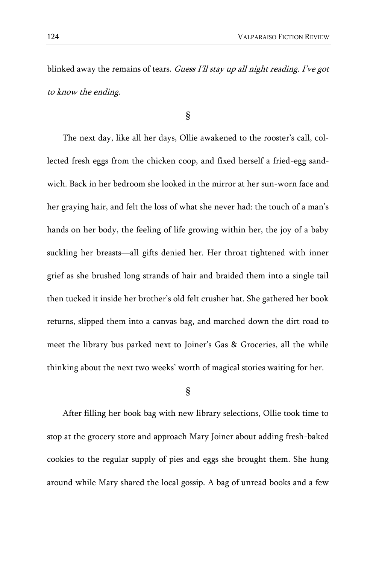blinked away the remains of tears. Guess I'll stay up all night reading. I've got to know the ending.

§

The next day, like all her days, Ollie awakened to the rooster's call, collected fresh eggs from the chicken coop, and fixed herself a fried-egg sandwich. Back in her bedroom she looked in the mirror at her sun-worn face and her graying hair, and felt the loss of what she never had: the touch of a man's hands on her body, the feeling of life growing within her, the joy of a baby suckling her breasts—all gifts denied her. Her throat tightened with inner grief as she brushed long strands of hair and braided them into a single tail then tucked it inside her brother's old felt crusher hat. She gathered her book returns, slipped them into a canvas bag, and marched down the dirt road to meet the library bus parked next to Joiner's Gas & Groceries, all the while thinking about the next two weeks' worth of magical stories waiting for her.

## §

After filling her book bag with new library selections, Ollie took time to stop at the grocery store and approach Mary Joiner about adding fresh-baked cookies to the regular supply of pies and eggs she brought them. She hung around while Mary shared the local gossip. A bag of unread books and a few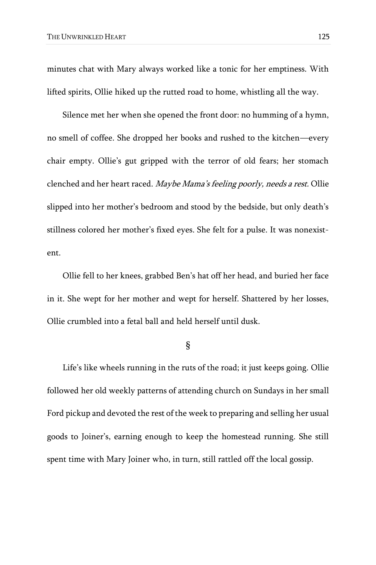minutes chat with Mary always worked like a tonic for her emptiness. With lifted spirits, Ollie hiked up the rutted road to home, whistling all the way.

Silence met her when she opened the front door: no humming of a hymn, no smell of coffee. She dropped her books and rushed to the kitchen—every chair empty. Ollie's gut gripped with the terror of old fears; her stomach clenched and her heart raced. Maybe Mama's feeling poorly, needs a rest. Ollie slipped into her mother's bedroom and stood by the bedside, but only death's stillness colored her mother's fixed eyes. She felt for a pulse. It was nonexistent.

Ollie fell to her knees, grabbed Ben's hat off her head, and buried her face in it. She wept for her mother and wept for herself. Shattered by her losses, Ollie crumbled into a fetal ball and held herself until dusk.

§

Life's like wheels running in the ruts of the road; it just keeps going. Ollie followed her old weekly patterns of attending church on Sundays in her small Ford pickup and devoted the rest of the week to preparing and selling her usual goods to Joiner's, earning enough to keep the homestead running. She still spent time with Mary Joiner who, in turn, still rattled off the local gossip.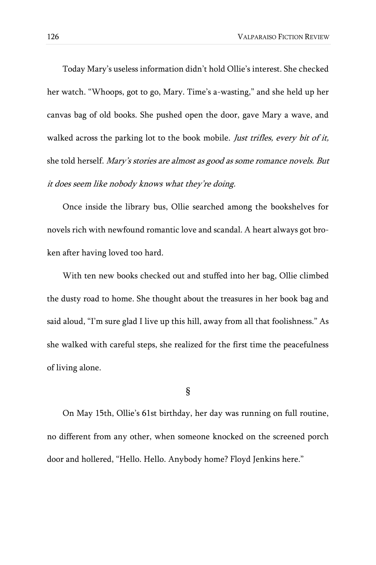Today Mary's useless information didn't hold Ollie's interest. She checked her watch. "Whoops, got to go, Mary. Time's a-wasting," and she held up her canvas bag of old books. She pushed open the door, gave Mary a wave, and walked across the parking lot to the book mobile. Just trifles, every bit of it, she told herself. Mary's stories are almost as good as some romance novels. But it does seem like nobody knows what they're doing.

Once inside the library bus, Ollie searched among the bookshelves for novels rich with newfound romantic love and scandal. A heart always got broken after having loved too hard.

With ten new books checked out and stuffed into her bag, Ollie climbed the dusty road to home. She thought about the treasures in her book bag and said aloud, "I'm sure glad I live up this hill, away from all that foolishness." As she walked with careful steps, she realized for the first time the peacefulness of living alone.

§

On May 15th, Ollie's 61st birthday, her day was running on full routine, no different from any other, when someone knocked on the screened porch door and hollered, "Hello. Hello. Anybody home? Floyd Jenkins here."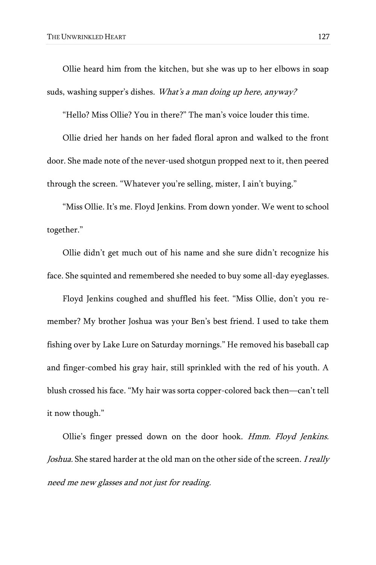Ollie heard him from the kitchen, but she was up to her elbows in soap suds, washing supper's dishes. What's a man doing up here, anyway?

"Hello? Miss Ollie? You in there?" The man's voice louder this time.

Ollie dried her hands on her faded floral apron and walked to the front door. She made note of the never-used shotgun propped next to it, then peered through the screen. "Whatever you're selling, mister, I ain't buying."

"Miss Ollie. It's me. Floyd Jenkins. From down yonder. We went to school together."

Ollie didn't get much out of his name and she sure didn't recognize his face. She squinted and remembered she needed to buy some all-day eyeglasses.

Floyd Jenkins coughed and shuffled his feet. "Miss Ollie, don't you remember? My brother Joshua was your Ben's best friend. I used to take them fishing over by Lake Lure on Saturday mornings." He removed his baseball cap and finger-combed his gray hair, still sprinkled with the red of his youth. A blush crossed his face. "My hair was sorta copper-colored back then—can't tell it now though."

Ollie's finger pressed down on the door hook. Hmm. Floyd Jenkins. Joshua. She stared harder at the old man on the other side of the screen. I really need me new glasses and not just for reading.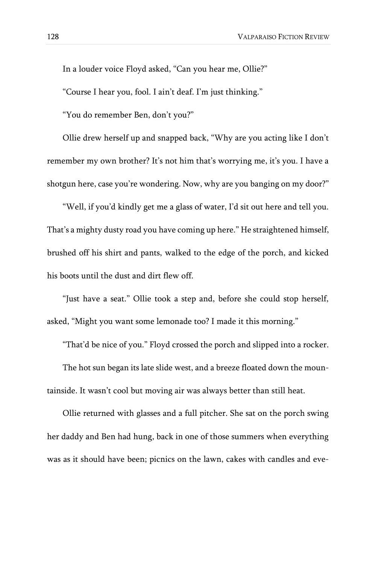In a louder voice Floyd asked, "Can you hear me, Ollie?"

"Course I hear you, fool. I ain't deaf. I'm just thinking."

"You do remember Ben, don't you?"

Ollie drew herself up and snapped back, "Why are you acting like I don't remember my own brother? It's not him that's worrying me, it's you. I have a shotgun here, case you're wondering. Now, why are you banging on my door?"

"Well, if you'd kindly get me a glass of water, I'd sit out here and tell you. That's a mighty dusty road you have coming up here." He straightened himself, brushed off his shirt and pants, walked to the edge of the porch, and kicked his boots until the dust and dirt flew off.

"Just have a seat." Ollie took a step and, before she could stop herself, asked, "Might you want some lemonade too? I made it this morning."

"That'd be nice of you." Floyd crossed the porch and slipped into a rocker.

The hot sun began its late slide west, and a breeze floated down the mountainside. It wasn't cool but moving air was always better than still heat.

Ollie returned with glasses and a full pitcher. She sat on the porch swing her daddy and Ben had hung, back in one of those summers when everything was as it should have been; picnics on the lawn, cakes with candles and eve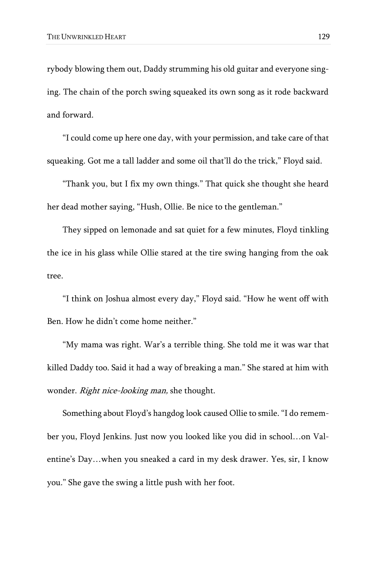rybody blowing them out, Daddy strumming his old guitar and everyone singing. The chain of the porch swing squeaked its own song as it rode backward and forward.

"I could come up here one day, with your permission, and take care of that squeaking. Got me a tall ladder and some oil that'll do the trick," Floyd said.

"Thank you, but I fix my own things." That quick she thought she heard her dead mother saying, "Hush, Ollie. Be nice to the gentleman."

They sipped on lemonade and sat quiet for a few minutes, Floyd tinkling the ice in his glass while Ollie stared at the tire swing hanging from the oak tree.

"I think on Joshua almost every day," Floyd said. "How he went off with Ben. How he didn't come home neither."

"My mama was right. War's a terrible thing. She told me it was war that killed Daddy too. Said it had a way of breaking a man." She stared at him with wonder. Right nice-looking man, she thought.

Something about Floyd's hangdog look caused Ollie to smile. "I do remember you, Floyd Jenkins. Just now you looked like you did in school…on Valentine's Day…when you sneaked a card in my desk drawer. Yes, sir, I know you." She gave the swing a little push with her foot.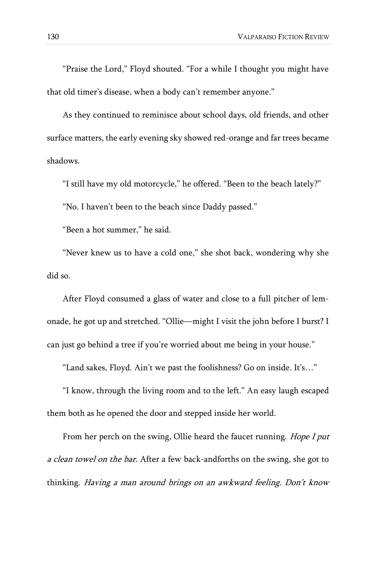"Praise the Lord," Floyd shouted. "For a while I thought you might have that old timer's disease, when a body can't remember anyone."

As they continued to reminisce about school days, old friends, and other surface matters, the early evening sky showed red-orange and far trees became shadows.

"I still have my old motorcycle," he offered. "Been to the beach lately?" "No. I haven't been to the beach since Daddy passed."

"Been a hot summer," he said.

"Never knew us to have a cold one," she shot back, wondering why she did so.

After Floyd consumed a glass of water and close to a full pitcher of lemonade, he got up and stretched. "Ollie—might I visit the john before I burst? I can just go behind a tree if you're worried about me being in your house."

"Land sakes, Floyd. Ain't we past the foolishness? Go on inside. It's…"

"I know, through the living room and to the left." An easy laugh escaped them both as he opened the door and stepped inside her world.

From her perch on the swing, Ollie heard the faucet running. Hope I put a clean towel on the bar. After a few back-andforths on the swing, she got to thinking. Having a man around brings on an awkward feeling. Don't know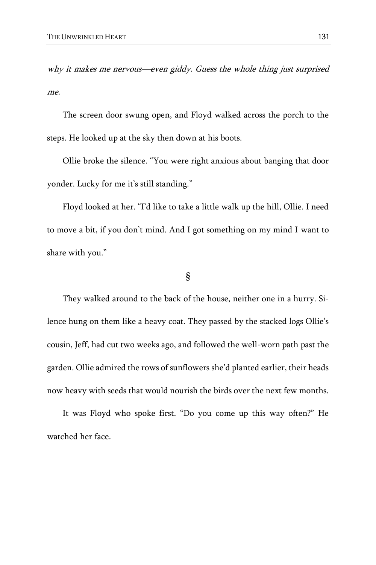why it makes me nervous—even giddy. Guess the whole thing just surprised me.

The screen door swung open, and Floyd walked across the porch to the steps. He looked up at the sky then down at his boots.

Ollie broke the silence. "You were right anxious about banging that door yonder. Lucky for me it's still standing."

Floyd looked at her. "I'd like to take a little walk up the hill, Ollie. I need to move a bit, if you don't mind. And I got something on my mind I want to share with you."

## §

They walked around to the back of the house, neither one in a hurry. Silence hung on them like a heavy coat. They passed by the stacked logs Ollie's cousin, Jeff, had cut two weeks ago, and followed the well-worn path past the garden. Ollie admired the rows of sunflowers she'd planted earlier, their heads now heavy with seeds that would nourish the birds over the next few months.

It was Floyd who spoke first. "Do you come up this way often?" He watched her face.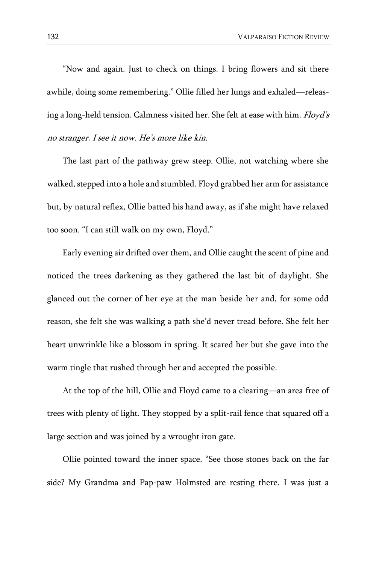"Now and again. Just to check on things. I bring flowers and sit there awhile, doing some remembering." Ollie filled her lungs and exhaled—releasing a long-held tension. Calmness visited her. She felt at ease with him. Floyd's no stranger. I see it now. He's more like kin.

The last part of the pathway grew steep. Ollie, not watching where she walked, stepped into a hole and stumbled. Floyd grabbed her arm for assistance but, by natural reflex, Ollie batted his hand away, as if she might have relaxed too soon. "I can still walk on my own, Floyd."

Early evening air drifted over them, and Ollie caught the scent of pine and noticed the trees darkening as they gathered the last bit of daylight. She glanced out the corner of her eye at the man beside her and, for some odd reason, she felt she was walking a path she'd never tread before. She felt her heart unwrinkle like a blossom in spring. It scared her but she gave into the warm tingle that rushed through her and accepted the possible.

At the top of the hill, Ollie and Floyd came to a clearing—an area free of trees with plenty of light. They stopped by a split-rail fence that squared off a large section and was joined by a wrought iron gate.

Ollie pointed toward the inner space. "See those stones back on the far side? My Grandma and Pap-paw Holmsted are resting there. I was just a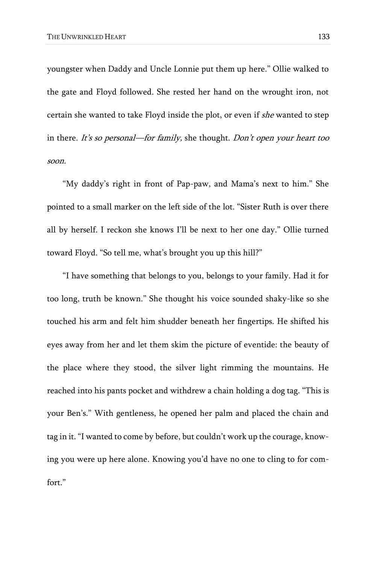youngster when Daddy and Uncle Lonnie put them up here." Ollie walked to the gate and Floyd followed. She rested her hand on the wrought iron, not certain she wanted to take Floyd inside the plot, or even if she wanted to step in there. It's so personal—for family, she thought. Don't open your heart too soon.

"My daddy's right in front of Pap-paw, and Mama's next to him." She pointed to a small marker on the left side of the lot. "Sister Ruth is over there all by herself. I reckon she knows I'll be next to her one day." Ollie turned toward Floyd. "So tell me, what's brought you up this hill?"

"I have something that belongs to you, belongs to your family. Had it for too long, truth be known." She thought his voice sounded shaky-like so she touched his arm and felt him shudder beneath her fingertips. He shifted his eyes away from her and let them skim the picture of eventide: the beauty of the place where they stood, the silver light rimming the mountains. He reached into his pants pocket and withdrew a chain holding a dog tag. "This is your Ben's." With gentleness, he opened her palm and placed the chain and tag in it. "I wanted to come by before, but couldn't work up the courage, knowing you were up here alone. Knowing you'd have no one to cling to for comfort."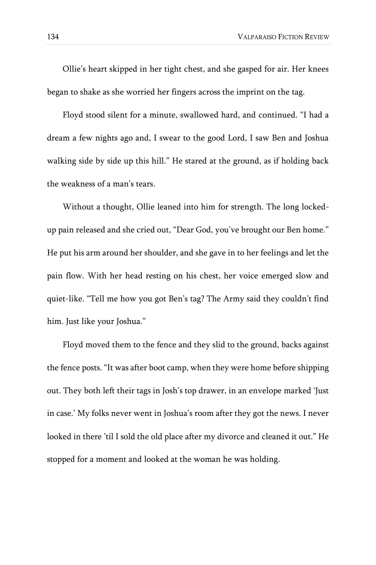Ollie's heart skipped in her tight chest, and she gasped for air. Her knees began to shake as she worried her fingers across the imprint on the tag.

Floyd stood silent for a minute, swallowed hard, and continued. "I had a dream a few nights ago and, I swear to the good Lord, I saw Ben and Joshua walking side by side up this hill." He stared at the ground, as if holding back the weakness of a man's tears.

Without a thought, Ollie leaned into him for strength. The long lockedup pain released and she cried out, "Dear God, you've brought our Ben home." He put his arm around her shoulder, and she gave in to her feelings and let the pain flow. With her head resting on his chest, her voice emerged slow and quiet-like. "Tell me how you got Ben's tag? The Army said they couldn't find him. Just like your Joshua."

Floyd moved them to the fence and they slid to the ground, backs against the fence posts. "It was after boot camp, when they were home before shipping out. They both left their tags in Josh's top drawer, in an envelope marked 'Just in case.' My folks never went in Joshua's room after they got the news. I never looked in there 'til I sold the old place after my divorce and cleaned it out." He stopped for a moment and looked at the woman he was holding.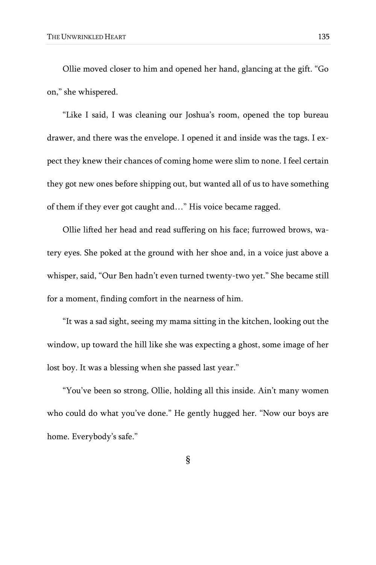Ollie moved closer to him and opened her hand, glancing at the gift. "Go on," she whispered.

"Like I said, I was cleaning our Joshua's room, opened the top bureau drawer, and there was the envelope. I opened it and inside was the tags. I expect they knew their chances of coming home were slim to none. I feel certain they got new ones before shipping out, but wanted all of us to have something of them if they ever got caught and…" His voice became ragged.

Ollie lifted her head and read suffering on his face; furrowed brows, watery eyes. She poked at the ground with her shoe and, in a voice just above a whisper, said, "Our Ben hadn't even turned twenty-two yet." She became still for a moment, finding comfort in the nearness of him.

"It was a sad sight, seeing my mama sitting in the kitchen, looking out the window, up toward the hill like she was expecting a ghost, some image of her lost boy. It was a blessing when she passed last year."

"You've been so strong, Ollie, holding all this inside. Ain't many women who could do what you've done." He gently hugged her. "Now our boys are home. Everybody's safe."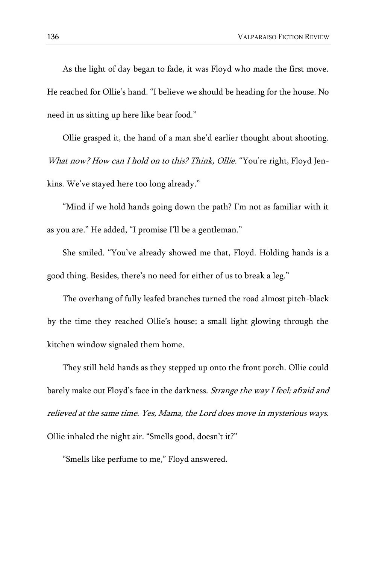As the light of day began to fade, it was Floyd who made the first move. He reached for Ollie's hand. "I believe we should be heading for the house. No need in us sitting up here like bear food."

Ollie grasped it, the hand of a man she'd earlier thought about shooting. What now? How can I hold on to this? Think, Ollie. "You're right, Floyd Jenkins. We've stayed here too long already."

"Mind if we hold hands going down the path? I'm not as familiar with it as you are." He added, "I promise I'll be a gentleman."

She smiled. "You've already showed me that, Floyd. Holding hands is a good thing. Besides, there's no need for either of us to break a leg."

The overhang of fully leafed branches turned the road almost pitch-black by the time they reached Ollie's house; a small light glowing through the kitchen window signaled them home.

They still held hands as they stepped up onto the front porch. Ollie could barely make out Floyd's face in the darkness. Strange the way I feel; afraid and relieved at the same time. Yes, Mama, the Lord does move in mysterious ways. Ollie inhaled the night air. "Smells good, doesn't it?"

"Smells like perfume to me," Floyd answered.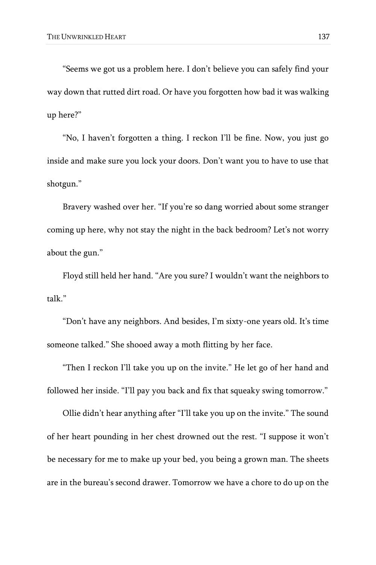"Seems we got us a problem here. I don't believe you can safely find your way down that rutted dirt road. Or have you forgotten how bad it was walking up here?"

"No, I haven't forgotten a thing. I reckon I'll be fine. Now, you just go inside and make sure you lock your doors. Don't want you to have to use that shotgun."

Bravery washed over her. "If you're so dang worried about some stranger coming up here, why not stay the night in the back bedroom? Let's not worry about the gun."

Floyd still held her hand. "Are you sure? I wouldn't want the neighbors to talk."

"Don't have any neighbors. And besides, I'm sixty-one years old. It's time someone talked." She shooed away a moth flitting by her face.

"Then I reckon I'll take you up on the invite." He let go of her hand and followed her inside. "I'll pay you back and fix that squeaky swing tomorrow."

Ollie didn't hear anything after "I'll take you up on the invite." The sound of her heart pounding in her chest drowned out the rest. "I suppose it won't be necessary for me to make up your bed, you being a grown man. The sheets are in the bureau's second drawer. Tomorrow we have a chore to do up on the